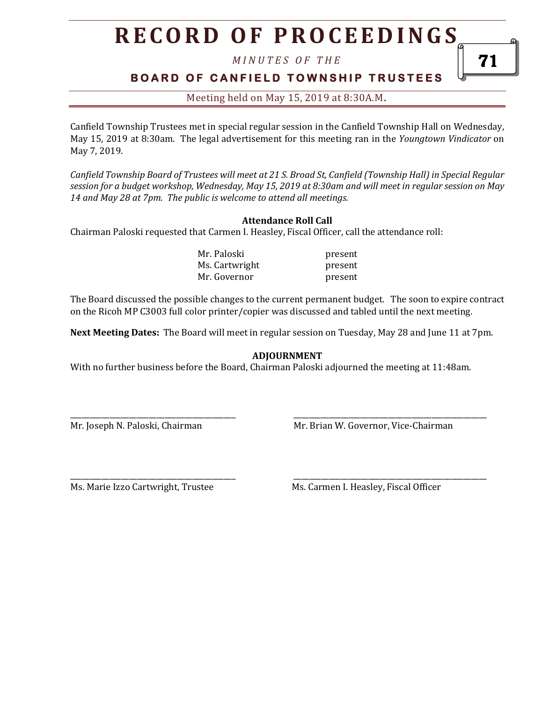# **R E C O R D O F P R O C E E D I N GS**

*M I N U T E S O F T H E* 

### **BOARD OF CANFIELD TOWNSHIP TRUSTEES**

Meeting held on May 15, 2019 at 8:30A.M**.**

Canfield Township Trustees met in special regular session in the Canfield Township Hall on Wednesday, May 15, 2019 at 8:30am. The legal advertisement for this meeting ran in the *Youngtown Vindicator* on May 7, 2019.

*Canfield Township Board of Trustees will meet at 21 S. Broad St, Canfield (Township Hall) in Special Regular session for a budget workshop, Wednesday, May 15, 2019 at 8:30am and will meet in regular session on May 14 and May 28 at 7pm. The public is welcome to attend all meetings.*

#### **Attendance Roll Call**

Chairman Paloski requested that Carmen I. Heasley, Fiscal Officer, call the attendance roll:

Mr. Paloski present Ms. Cartwright present Mr. Governor **present** 

The Board discussed the possible changes to the current permanent budget. The soon to expire contract on the Ricoh MP C3003 full color printer/copier was discussed and tabled until the next meeting.

**Next Meeting Dates:** The Board will meet in regular session on Tuesday, May 28 and June 11 at 7pm.

#### **ADJOURNMENT**

With no further business before the Board, Chairman Paloski adjourned the meeting at 11:48am.

\_\_\_\_\_\_\_\_\_\_\_\_\_\_\_\_\_\_\_\_\_\_\_\_\_\_\_\_\_\_\_\_\_\_\_\_\_\_\_\_\_\_ \_\_\_\_\_\_\_\_\_\_\_\_\_\_\_\_\_\_\_\_\_\_\_\_\_\_\_\_\_\_\_\_\_\_\_\_\_\_\_\_\_\_\_\_\_\_\_\_\_

Mr. Joseph N. Paloski, Chairman Mr. Brian W. Governor, Vice-Chairman

\_\_\_\_\_\_\_\_\_\_\_\_\_\_\_\_\_\_\_\_\_\_\_\_\_\_\_\_\_\_\_\_\_\_\_\_\_\_\_\_\_\_ \_\_\_\_\_\_\_\_\_\_\_\_\_\_\_\_\_\_\_\_\_\_\_\_\_\_\_\_\_\_\_\_\_\_\_\_\_\_\_\_\_\_\_\_\_\_\_\_\_ Ms. Marie Izzo Cartwright, Trustee Ms. Carmen I. Heasley, Fiscal Officer

71